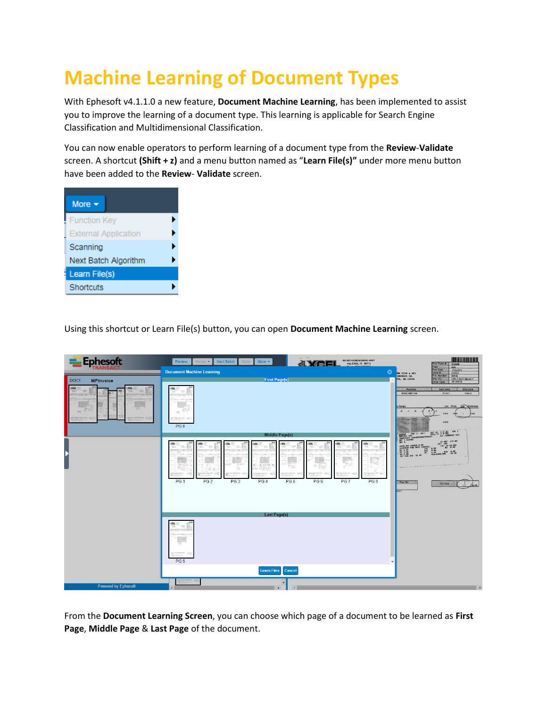# **Machine Learning of Document Types**

With Ephesoft v4.1.1.0 a new feature, **Document Machine Learning**, has been implemented to assist you to improve the learning of a document type. This learning is applicable for Search Engine Classification and Multidimensional Classification.

You can now enable operators to perform learning of a document type from the **Review**-**Validate**  screen. A shortcut **(Shift + z)** and a menu button named as "**Learn File(s)"** under more menu button have been added to the **Review**- **Validate** screen.

| More $\blacktriangleright$  |  |
|-----------------------------|--|
| <b>Function Key</b>         |  |
| <b>External Application</b> |  |
| Scanning                    |  |
| Next Batch Algorithm        |  |
| Learn File(s)               |  |
| Shortcuts                   |  |

Using this shortcut or Learn File(s) button, you can open **Document Machine Learning** screen.



From the **Document Learning Screen**, you can choose which page of a document to be learned as **First Page**, **Middle Page** & **Last Page** of the document.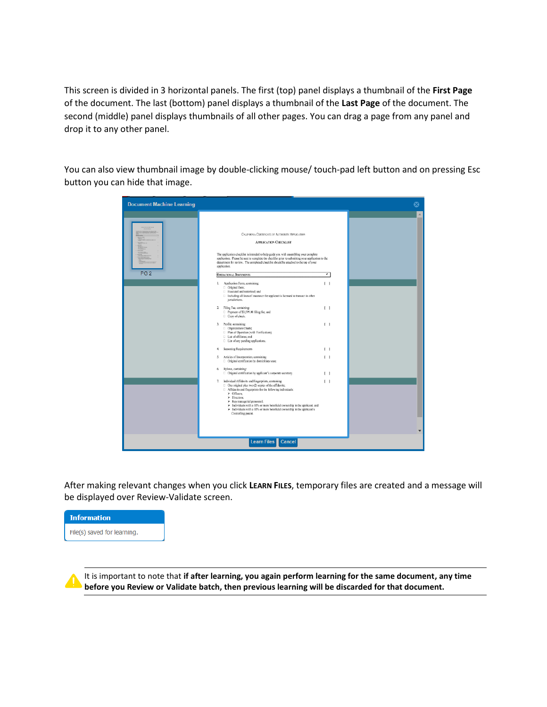This screen is divided in 3 horizontal panels. The first (top) panel displays a thumbnail of the **First Page** of the document. The last (bottom) panel displays a thumbnail of the **Last Page** of the document. The second (middle) panel displays thumbnails of all other pages. You can drag a page from any panel and drop it to any other panel.

You can also view thumbnail image by double-clicking mouse/ touch-pad left button and on pressing Esc button you can hide that image.

| <b>Document Machine Learning</b>                                                                                 |                                                                                                                                                                                                                                                                                                                                                                                                                                                                                                                                                                                                                                                                                                                                                                                                                                                                                                                                                                                                                                                                                                                                                                                                                                                                                                                                                                                                                                                                                                                                                                                                                                                                                                                  |        |
|------------------------------------------------------------------------------------------------------------------|------------------------------------------------------------------------------------------------------------------------------------------------------------------------------------------------------------------------------------------------------------------------------------------------------------------------------------------------------------------------------------------------------------------------------------------------------------------------------------------------------------------------------------------------------------------------------------------------------------------------------------------------------------------------------------------------------------------------------------------------------------------------------------------------------------------------------------------------------------------------------------------------------------------------------------------------------------------------------------------------------------------------------------------------------------------------------------------------------------------------------------------------------------------------------------------------------------------------------------------------------------------------------------------------------------------------------------------------------------------------------------------------------------------------------------------------------------------------------------------------------------------------------------------------------------------------------------------------------------------------------------------------------------------------------------------------------------------|--------|
| <b>Widelpate</b><br>AERVARMINAP-<br><b>RESIDENCE</b><br>E<br><b>CASTER</b><br><b>Services</b><br>PG <sub>2</sub> | CALIFORNIA CERTIFICATE OF AUTHORITY APPLICATION<br><b>APPLICATION CHECKLIST</b><br>The application checklist is intended to help guide you with assembling your complete<br>application. Please be sure to complete the checklist prior to submitting your application to the<br>department for review. The completed checklist should be attached to the top of your<br>application.<br>⊽<br><b>OPERATIONAL DOCUMENTS</b><br>1. Application Form, containing:<br>$\Box$<br>Original form;<br>□ Executed and notarized; and<br><b>E</b> Including all lines of insurance the applicant is licensed to transact in other<br>jurisdictions.<br>2. Filing Fee, containing:<br>$\left  \quad \right $<br>Payment of \$3,599.00 filing fee; and<br>Copy of check.<br>3. Profile, containing:<br>$\Box$<br>Organization Charts;<br>[] Plan of Operation (with Verification);<br>List of affiliates; and<br>□ List of any pending applications.<br>Seasoning Requirements<br>$\left  \quad \right $<br>4.<br>5. Articles of Incorporation, containing:<br>$\Box$<br>□ Original certification by domiciliary state.<br>6. Bylaws, containing:<br>□ Original certification by applicant's corporate secretary.<br>$\Box$<br>7. Individual Affidavits and Fingerprints, containing:<br>$\Box$<br>□ One original plus two (2) copies of the affidavits;<br>□ Affidavits and fingerprints for the following individuals:<br>$\triangleright$ Officers:<br>$\triangleright$ Directors:<br>> Key managerial personnel;<br>> Individuals with a 10% or more beneficial ownership in the applicant; and<br>> Individuals with a 10% or more beneficial ownership in the applicant's<br>Controlling parent.<br>Learn Files Cancel | A<br>۰ |
|                                                                                                                  |                                                                                                                                                                                                                                                                                                                                                                                                                                                                                                                                                                                                                                                                                                                                                                                                                                                                                                                                                                                                                                                                                                                                                                                                                                                                                                                                                                                                                                                                                                                                                                                                                                                                                                                  |        |

After making relevant changes when you click **LEARN FILES**, temporary files are created and a message will be displayed over Review-Validate screen.



It is important to note that **if after learning, you again perform learning for the same document, any time before you Review or Validate batch, then previous learning will be discarded for that document.**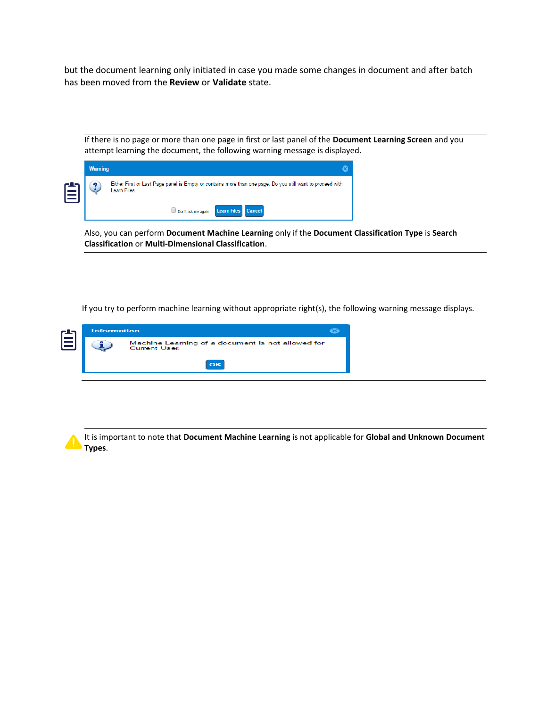but the document learning only initiated in case you made some changes in document and after batch has been moved from the **Review** or **Validate** state.

If there is no page or more than one page in first or last panel of the **Document Learning Screen** and you attempt learning the document, the following warning message is displayed.

|   | <b>Warning</b> |                                                                                                                           |
|---|----------------|---------------------------------------------------------------------------------------------------------------------------|
| 自 |                | Either First or Last Page panel is Empty or contains more than one page. Do you still want to proceed with<br>Learn Files |
|   |                | Don't ask me again Learn Files Cancel                                                                                     |

Also, you can perform **Document Machine Learning** only if the **Document Classification Type** is **Search Classification** or **Multi-Dimensional Classification**.

If you try to perform machine learning without appropriate right(s), the following warning message displays.

| <b>Information</b>                                                       |          |  |  |  |  |  |  |
|--------------------------------------------------------------------------|----------|--|--|--|--|--|--|
| Machine Learning of a document is not allowed for<br><b>Current User</b> |          |  |  |  |  |  |  |
|                                                                          | $\alpha$ |  |  |  |  |  |  |

It is important to note that **Document Machine Learning** is not applicable for **Global and Unknown Document Types**.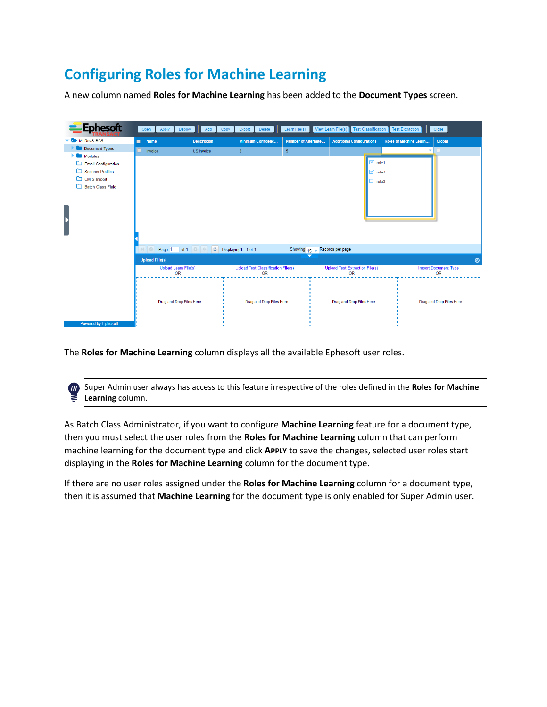## **Configuring Roles for Machine Learning**

A new column named **Roles for Machine Learning** has been added to the **Document Types** screen.



The **Roles for Machine Learning** column displays all the available Ephesoft user roles.

 $I\!\!I\!\!I$ 

Super Admin user always has access to this feature irrespective of the roles defined in the **Roles for Machine Learning** column.

As Batch Class Administrator, if you want to configure **Machine Learning** feature for a document type, then you must select the user roles from the **Roles for Machine Learning** column that can perform machine learning for the document type and click **APPLY** to save the changes, selected user roles start displaying in the **Roles for Machine Learning** column for the document type.

If there are no user roles assigned under the **Roles for Machine Learning** column for a document type, then it is assumed that **Machine Learning** for the document type is only enabled for Super Admin user.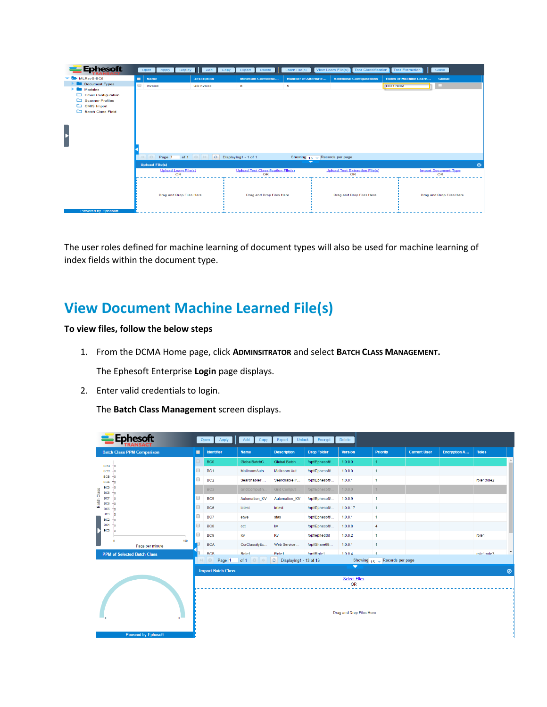| <b>Ephesoft</b>                   | Open                                                   | Apply Deploy Add Copy                          | Delete  <br>Export                              | Learn File(s)                                               | <b>Test Classification</b><br>View Learn File(s) | <b>Test Extraction</b>        | Close                             |
|-----------------------------------|--------------------------------------------------------|------------------------------------------------|-------------------------------------------------|-------------------------------------------------------------|--------------------------------------------------|-------------------------------|-----------------------------------|
| MLRavS-BC5                        | ▬<br><b>Name</b>                                       | <b>Description</b>                             | <b>Minimum Confidenc</b>                        | <b>Number of Alternate</b>                                  | <b>Additional Configurations</b>                 | <b>Roles of Machine Learn</b> | Global                            |
| Document Types                    | $\qquad \qquad \qquad \qquad \qquad \qquad$<br>Invoice | <b>US Invoice</b>                              | 8                                               | 5                                                           |                                                  | role1;role2                   |                                   |
| <b>Modules</b>                    |                                                        |                                                |                                                 |                                                             |                                                  |                               |                                   |
| Email Configuration               |                                                        |                                                |                                                 |                                                             |                                                  |                               |                                   |
| Scanner Profiles<br>C CMIS Import |                                                        |                                                |                                                 |                                                             |                                                  |                               |                                   |
| <b>Batch Class Field</b>          |                                                        |                                                |                                                 |                                                             |                                                  |                               |                                   |
|                                   |                                                        |                                                |                                                 |                                                             |                                                  |                               |                                   |
|                                   |                                                        |                                                |                                                 |                                                             |                                                  |                               |                                   |
|                                   |                                                        |                                                |                                                 |                                                             |                                                  |                               |                                   |
| Þ                                 |                                                        |                                                |                                                 |                                                             |                                                  |                               |                                   |
|                                   |                                                        |                                                |                                                 |                                                             |                                                  |                               |                                   |
|                                   |                                                        |                                                |                                                 |                                                             |                                                  |                               |                                   |
|                                   | $(4 \n\circled{0}$<br>Page 1                           | of $1 \circ \circ \circ$ Displaying 1 - 1 of 1 |                                                 |                                                             |                                                  |                               |                                   |
|                                   |                                                        |                                                |                                                 | Showing $15 -$ Records per page<br>$\overline{\phantom{0}}$ |                                                  |                               |                                   |
|                                   | <b>Upload File(s)</b>                                  |                                                |                                                 |                                                             |                                                  |                               | $\bullet$                         |
|                                   | Upload Learn File(s)<br>OR                             |                                                | <b>Upload Test Classification File(s)</b><br>OR |                                                             | <b>Upload Test Extraction File(s)</b><br>OR      |                               | <b>Import Document Type</b><br>OR |
|                                   |                                                        |                                                |                                                 |                                                             |                                                  |                               |                                   |
|                                   |                                                        |                                                |                                                 |                                                             |                                                  |                               |                                   |
|                                   | <b>Drag and Drop Files Here</b>                        |                                                | <b>Drag and Drop Files Here</b>                 |                                                             | <b>Drag and Drop Files Here</b>                  |                               | <b>Drag and Drop Files Here</b>   |
|                                   |                                                        |                                                |                                                 |                                                             |                                                  |                               |                                   |
|                                   |                                                        |                                                |                                                 |                                                             |                                                  |                               |                                   |
| <b>Powered by Ephesoft</b>        |                                                        |                                                |                                                 |                                                             |                                                  |                               |                                   |

The user roles defined for machine learning of document types will also be used for machine learning of index fields within the document type.

### **View Document Machine Learned File(s)**

#### **To view files, follow the below steps**

1. From the DCMA Home page, click **ADMINSITRATOR** and select **BATCH CLASS MANAGEMENT.**

The Ephesoft Enterprise **Login** page displays.

2. Enter valid credentials to login.

The **Batch Class Management** screen displays.

| <b>Ephesoft</b>                                |        | Apply<br>Open             | Add<br>Copy                | Unlock<br>Export         | Encrypt            | Delete                                 |                            |                     |                     |              |                          |
|------------------------------------------------|--------|---------------------------|----------------------------|--------------------------|--------------------|----------------------------------------|----------------------------|---------------------|---------------------|--------------|--------------------------|
| <b>Batch Class PPM Comparison</b>              | п      | <b>Identifier</b>         | <b>Name</b>                | <b>Description</b>       | <b>Drop Folder</b> | <b>Version</b>                         | <b>Priority</b>            | <b>Current User</b> | <b>Encryption A</b> | <b>Roles</b> |                          |
| <b>BCD</b>                                     |        | <b>BCO</b>                | GlobalBatchC.              | Global Batch.            | /opt/Ephesoft/.    | 1,0.0.0                                | 1                          |                     |                     |              |                          |
| BCC                                            | □      | BC <sub>1</sub>           | MailroomAuto               | Mailroom Aut             | /opt/Ephesoft/     | 1.0.0.0                                | $\overline{1}$             |                     |                     |              |                          |
| <b>BCB</b><br><b>BCA</b>                       | $\Box$ | BC <sub>2</sub>           | SearchableP                | Searchable P             | /opt/Ephesoft/     | 1.0.0.1                                | $\overline{1}$             |                     |                     | role1;role2  |                          |
| <b>BC9</b><br>BC8                              |        | BC <sub>3</sub>           | GridComputin.              | Grid Computi.            | /opt/Ephesoft/.    | 1.0.0.0                                | $\mathbf{1}$               |                     |                     |              |                          |
| Batch Class<br>BC7<br>۰h                       | 0      | BC <sub>5</sub>           | Automation KV              | Automation KV            | /opt/Ephesoft/     | 1.0.0.9                                | $\overline{1}$             |                     |                     |              |                          |
| BC6<br>⊣∩<br>BC5<br>-In                        |        | BC <sub>6</sub>           | latest                     | latest                   | /opt/Ephesoft/     | 1,0.0.17                               | $\overline{1}$             |                     |                     |              |                          |
| BC <sub>3</sub><br>⊣∩<br>BC <sub>2</sub><br>٣n | 0      | BC7                       | etwe                       | sfas                     | /opt/Ephesoft/     | 1.0.0.1                                | $\overline{1}$             |                     |                     |              |                          |
| BC1<br>⊣∩<br><b>BCO</b><br>Hn.                 | □      | BC <sub>8</sub>           | oct                        | k <b>v</b>               | /opt/Ephesoft/     | 1,0.0.8                                | $\overline{4}$             |                     |                     |              |                          |
|                                                | 0      | BC <sub>9</sub>           | Kv                         | Kv                       | /opt/epheddd       | 1.0.0.2                                | $\overline{1}$             |                     |                     | role1        |                          |
| 100<br>Page per minute                         |        | <b>BCA</b>                | OcrClassifyEx              | Web Service              | /opt/Share09       | 1,0.0.1                                | $\overline{1}$             |                     |                     |              |                          |
| <b>PPM of Selected Batch Class</b>             |        | <b>RCR</b>                | Role1                      | Role1                    | /ont/Role1         | 1004                                   | $\overline{1}$             |                     |                     | Felon: Nelot | $\overline{\phantom{a}}$ |
|                                                |        | Page 1                    | of 1 $\circ$ $\rightarrow$ | C Displaying1 - 13 of 13 |                    | Showing 15<br>$\overline{\phantom{a}}$ | Records per page<br>$\sim$ |                     |                     |              |                          |
|                                                |        | <b>Import Batch Class</b> |                            |                          |                    |                                        |                            |                     |                     |              | $\bullet$                |
|                                                |        |                           |                            |                          |                    | <b>Select Files</b><br><b>OR</b>       |                            |                     |                     |              |                          |
|                                                |        |                           |                            |                          |                    |                                        |                            |                     |                     |              |                          |
|                                                |        |                           |                            |                          |                    |                                        |                            |                     |                     |              |                          |
|                                                |        |                           |                            |                          |                    | Drag and Drop Files Here               |                            |                     |                     |              |                          |
|                                                |        |                           |                            |                          |                    |                                        |                            |                     |                     |              |                          |
| <b>Powered by Ephesoft</b>                     |        |                           |                            |                          |                    |                                        |                            |                     |                     |              |                          |
|                                                |        |                           |                            |                          |                    |                                        |                            |                     |                     |              |                          |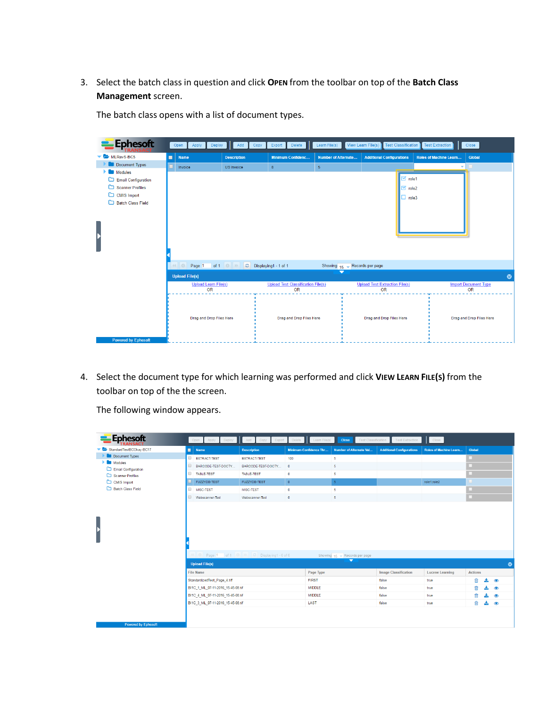#### 3. Select the batch class in question and click **OPEN** from the toolbar on top of the **Batch Class Management** screen.

The batch class opens with a list of document types.

| <b>Ephesoft</b>            |   | Apply<br>Open<br>Deploy                  | Add<br>Copy                           | Delete<br>Export                          | Learn File(s)              | View Learn File(s)<br><b>Test Classification</b> | <b>Test Extraction</b>        | Close                       |
|----------------------------|---|------------------------------------------|---------------------------------------|-------------------------------------------|----------------------------|--------------------------------------------------|-------------------------------|-----------------------------|
| MLRavS-BC5                 | П | <b>Name</b>                              | <b>Description</b>                    | <b>Minimum Confidenc</b>                  | <b>Number of Alternate</b> | <b>Additional Configurations</b>                 | <b>Roles of Machine Learn</b> | Global                      |
| Document Types             |   | Invoice                                  | <b>US</b> Invoice                     | 8                                         | 5 <sub>1</sub>             |                                                  | ٠                             |                             |
| Modules                    |   |                                          |                                       |                                           |                            |                                                  |                               |                             |
| $\Box$ Email Configuration |   |                                          |                                       |                                           |                            | $\mathbb{Z}$ role1                               |                               |                             |
| Scanner Profiles           |   |                                          |                                       |                                           |                            | $\boxtimes$ role2                                |                               |                             |
| CMIS Import                |   |                                          |                                       |                                           |                            | $\Box$ role3                                     |                               |                             |
| Batch Class Field          |   |                                          |                                       |                                           |                            |                                                  |                               |                             |
|                            |   |                                          |                                       |                                           |                            |                                                  |                               |                             |
|                            |   |                                          |                                       |                                           |                            |                                                  |                               |                             |
|                            |   |                                          |                                       |                                           |                            |                                                  |                               |                             |
|                            |   |                                          |                                       |                                           |                            |                                                  |                               |                             |
|                            |   |                                          |                                       |                                           |                            |                                                  |                               |                             |
|                            |   |                                          |                                       |                                           |                            |                                                  |                               |                             |
|                            |   | Page 1                                   | of 1 $\odot$ $\rightarrow$<br>$\circ$ | Displaying1 - 1 of 1                      | Showing 15<br>٠            | Records per page                                 |                               |                             |
|                            |   | <b>Upload File(s)</b>                    |                                       |                                           | $\overline{\phantom{0}}$   |                                                  |                               | ◎                           |
|                            |   | <b>Upload Learn File(s)</b><br><b>OR</b> |                                       | <b>Upload Test Classification File(s)</b> |                            | <b>Upload Test Extraction File(s)</b>            |                               | <b>Import Document Type</b> |
|                            |   |                                          |                                       | <b>OR</b>                                 |                            | <b>OR</b>                                        |                               | <b>OR</b>                   |
|                            |   |                                          |                                       |                                           |                            |                                                  |                               |                             |
|                            |   |                                          |                                       |                                           |                            |                                                  |                               |                             |
|                            |   | Drag and Drop Files Here                 |                                       | Drag and Drop Files Here                  |                            | Drag and Drop Files Here                         |                               | Drag and Drop Files Here    |
|                            |   |                                          |                                       |                                           |                            |                                                  |                               |                             |
|                            |   |                                          |                                       |                                           |                            |                                                  |                               |                             |
| <b>Powered by Ephesoft</b> |   |                                          |                                       |                                           |                            |                                                  |                               |                             |

4. Select the document type for which learning was performed and click **VIEW LEARN FILE(S)** from the toolbar on top of the the screen.

The following window appears.

| <b>Ephesoft</b>                         | Open Apply Deploy Add Copy Export Delete Learn File(s) |                                               |                               | Close<br><b>Test Classification</b>                            | <b>Test Extraction</b>           | Close                         |                           |
|-----------------------------------------|--------------------------------------------------------|-----------------------------------------------|-------------------------------|----------------------------------------------------------------|----------------------------------|-------------------------------|---------------------------|
| StandardTestBCOkav-BC17                 | ◼<br><b>Name</b>                                       | <b>Description</b>                            | <b>Minimum Confidence Thr</b> | Number of Alternate Val                                        | <b>Additional Configurations</b> | <b>Roles of Machine Learn</b> | Global                    |
| Document Types                          | $\qquad \qquad \Box$<br>EXTRACT-TEST                   | <b>EXTRACT-TEST</b>                           | 100                           | 5                                                              |                                  |                               |                           |
| <b>Modules</b>                          | BARCODE-TEST-DOCTY                                     | BARCODE-TEST-DOCTY                            | $\overline{0}$                | $5^{\circ}$                                                    |                                  |                               |                           |
| Email Configuration<br>Scanner Profiles | TABLE-TEST                                             | TABLE-TEST                                    | $\bullet$                     | -5                                                             |                                  |                               |                           |
| CMIS Import                             | FUZZYDB-TEST                                           | <b>FUZZYDB-TEST</b>                           | $\,$ 0                        | $-5$                                                           |                                  | role1;role2                   |                           |
| Batch Class Field                       | MISC-TEST                                              | MISC-TEST                                     | $\bf{0}$                      | 5 <sub>5</sub>                                                 |                                  |                               |                           |
|                                         | m.<br>Webscanner-Test                                  | Webscanner-Test                               | $\mathbf{0}$                  | -5                                                             |                                  |                               |                           |
|                                         | 6 I.Q.<br><b>Upload File(s)</b>                        | Page 1 of 1 0   1   C   Displaying 1 - 6 of 6 |                               | Showing $15 \div$ Records per page<br>$\overline{\phantom{0}}$ |                                  |                               | $\circledcirc$            |
|                                         | File Name                                              |                                               | Page Type                     |                                                                | <b>Image Classification</b>      | <b>Lucene Learning</b>        | <b>Actions</b>            |
|                                         | StandardizedTest Page 4.tiff                           |                                               | <b>FIRST</b>                  |                                                                | false                            | true                          | ति<br>$\circledcirc$      |
|                                         | BI1C 1 ML 07-11-2016 15-45-08.tif                      |                                               | <b>MIDDLE</b>                 |                                                                | false                            | true                          | 尙<br>$\circledcirc$       |
|                                         | BI1C 4 ML 07-11-2016 15-45-08.tif                      |                                               | <b>MIDDLE</b>                 |                                                                | false                            | true                          | m<br>$\circ$              |
|                                         | BI1C 3 ML 07-11-2016 15-45-08.tif                      |                                               | LAST                          |                                                                | false                            | true                          | नि<br>土<br>$\circledcirc$ |
| <b>Powered by Ephesoft</b>              |                                                        |                                               |                               |                                                                |                                  |                               |                           |